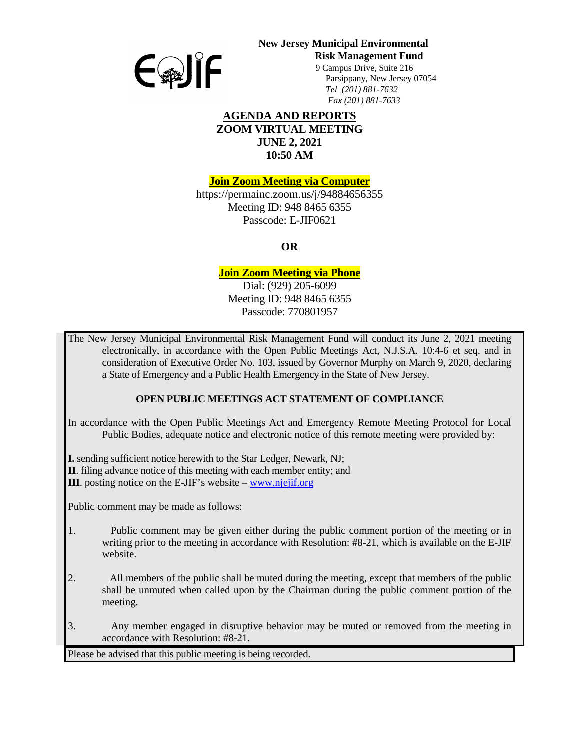

# **New Jersey Municipal Environmental**

**Risk Management Fund** 

 9 Campus Drive, Suite 216 Parsippany, New Jersey 07054 *Tel (201) 881-7632 Fax (201) 881-7633*

#### **AGENDA AND REPORTS ZOOM VIRTUAL MEETING JUNE 2, 2021 10:50 AM**

**Join Zoom Meeting via Computer**

https://permainc.zoom.us/j/94884656355 Meeting ID: 948 8465 6355 Passcode: E-JIF0621

**OR**

## **Join Zoom Meeting via Phone**

Dial: (929) 205-6099 Meeting ID: 948 8465 6355 Passcode: 770801957

The New Jersey Municipal Environmental Risk Management Fund will conduct its June 2, 2021 meeting electronically, in accordance with the Open Public Meetings Act, N.J.S.A. 10:4-6 et seq. and in consideration of Executive Order No. 103, issued by Governor Murphy on March 9, 2020, declaring a State of Emergency and a Public Health Emergency in the State of New Jersey.

## **OPEN PUBLIC MEETINGS ACT STATEMENT OF COMPLIANCE**

In accordance with the Open Public Meetings Act and Emergency Remote Meeting Protocol for Local Public Bodies, adequate notice and electronic notice of this remote meeting were provided by:

**I.** sending sufficient notice herewith to the Star Ledger, Newark, NJ;

**II**. filing advance notice of this meeting with each member entity; and

**III**. posting notice on the E-JIF's website – [www.njejif.org](http://www.njejif.org/)

Public comment may be made as follows:

- 1. Public comment may be given either during the public comment portion of the meeting or in writing prior to the meeting in accordance with Resolution: #8-21, which is available on the E-JIF website.
- 2. All members of the public shall be muted during the meeting, except that members of the public shall be unmuted when called upon by the Chairman during the public comment portion of the meeting.
- 3. Any member engaged in disruptive behavior may be muted or removed from the meeting in accordance with Resolution: #8-21.

Please be advised that this public meeting is being recorded.